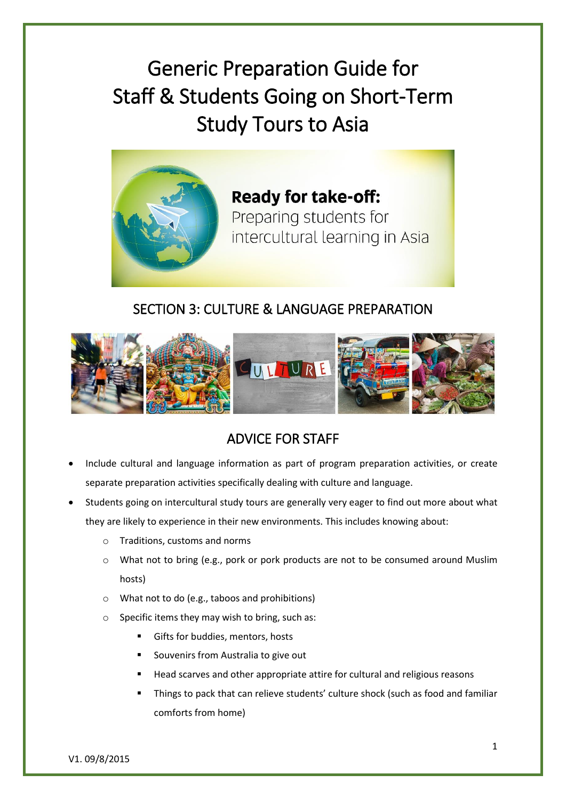Generic Preparation Guide for Staff & Students Going on Short-Term Study Tours to Asia



**Ready for take-off:** Preparing students for intercultural learning in Asia

## SECTION 3: CULTURE & LANGUAGE PREPARATION



## ADVICE FOR STAFF

- Include cultural and language information as part of program preparation activities, or create separate preparation activities specifically dealing with culture and language.
- Students going on intercultural study tours are generally very eager to find out more about what they are likely to experience in their new environments. This includes knowing about:
	- o Traditions, customs and norms
	- o What not to bring (e.g., pork or pork products are not to be consumed around Muslim hosts)
	- o What not to do (e.g., taboos and prohibitions)
	- o Specific items they may wish to bring, such as:
		- Gifts for buddies, mentors, hosts
		- Souvenirs from Australia to give out
		- Head scarves and other appropriate attire for cultural and religious reasons
		- Things to pack that can relieve students' culture shock (such as food and familiar comforts from home)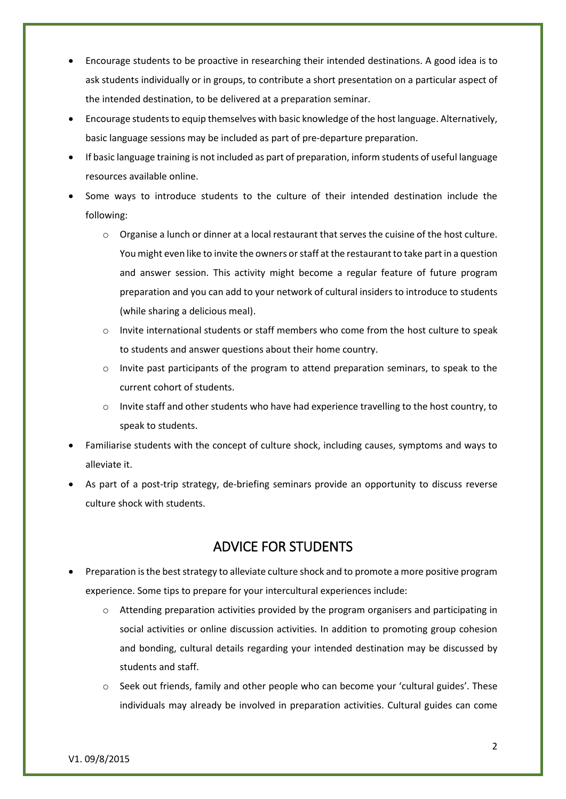- Encourage students to be proactive in researching their intended destinations. A good idea is to ask students individually or in groups, to contribute a short presentation on a particular aspect of the intended destination, to be delivered at a preparation seminar.
- Encourage students to equip themselves with basic knowledge of the host language. Alternatively, basic language sessions may be included as part of pre-departure preparation.
- If basic language training is not included as part of preparation, inform students of useful language resources available online.
- Some ways to introduce students to the culture of their intended destination include the following:
	- $\circ$  Organise a lunch or dinner at a local restaurant that serves the cuisine of the host culture. You might even like to invite the owners or staff at the restaurant to take part in a question and answer session. This activity might become a regular feature of future program preparation and you can add to your network of cultural insiders to introduce to students (while sharing a delicious meal).
	- o Invite international students or staff members who come from the host culture to speak to students and answer questions about their home country.
	- o Invite past participants of the program to attend preparation seminars, to speak to the current cohort of students.
	- o Invite staff and other students who have had experience travelling to the host country, to speak to students.
- Familiarise students with the concept of culture shock, including causes, symptoms and ways to alleviate it.
- As part of a post-trip strategy, de-briefing seminars provide an opportunity to discuss reverse culture shock with students.

## ADVICE FOR STUDENTS

- Preparation is the best strategy to alleviate culture shock and to promote a more positive program experience. Some tips to prepare for your intercultural experiences include:
	- o Attending preparation activities provided by the program organisers and participating in social activities or online discussion activities. In addition to promoting group cohesion and bonding, cultural details regarding your intended destination may be discussed by students and staff.
	- Seek out friends, family and other people who can become your 'cultural guides'. These individuals may already be involved in preparation activities. Cultural guides can come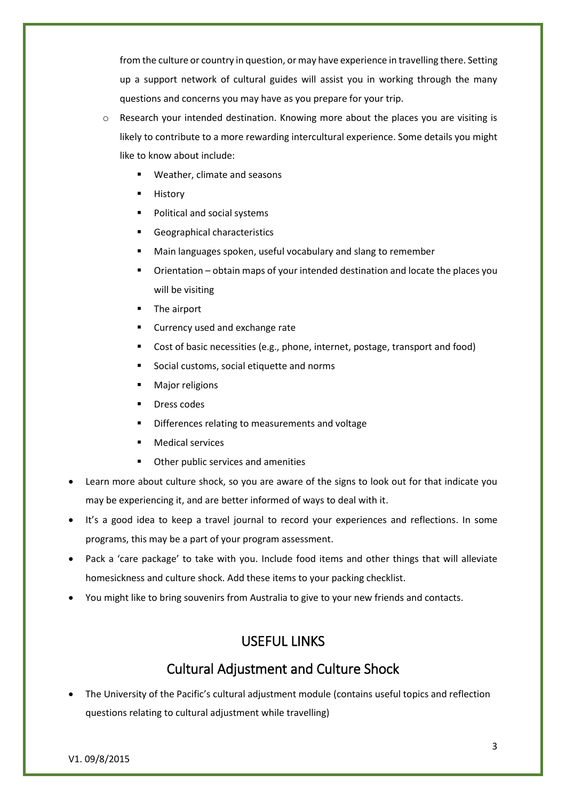from the culture or country in question, or may have experience in travelling there. Setting up a support network of cultural guides will assist you in working through the many questions and concerns you may have as you prepare for your trip.

- o Research your intended destination. Knowing more about the places you are visiting is likely to contribute to a more rewarding intercultural experience. Some details you might like to know about include:
	- Weather, climate and seasons
	- **History**
	- **Political and social systems**
	- Geographical characteristics
	- Main languages spoken, useful vocabulary and slang to remember
	- Orientation obtain maps of your intended destination and locate the places you will be visiting
	- The airport
	- Currency used and exchange rate
	- Cost of basic necessities (e.g., phone, internet, postage, transport and food)
	- Social customs, social etiquette and norms
	- Major religions
	- Dress codes
	- Differences relating to measurements and voltage
	- Medical services
	- Other public services and amenities
- Learn more about culture shock, so you are aware of the signs to look out for that indicate you may be experiencing it, and are better informed of ways to deal with it.
- It's a good idea to keep a travel journal to record your experiences and reflections. In some programs, this may be a part of your program assessment.
- Pack a 'care package' to take with you. Include food items and other things that will alleviate homesickness and culture shock. Add these items to your packing checklist.
- You might like to bring souvenirs from Australia to give to your new friends and contacts.

#### USEFUL LINKS

#### Cultural Adjustment and Culture Shock

 The University of the Pacific's cultural adjustment module (contains useful topics and reflection questions relating to cultural adjustment while travelling)